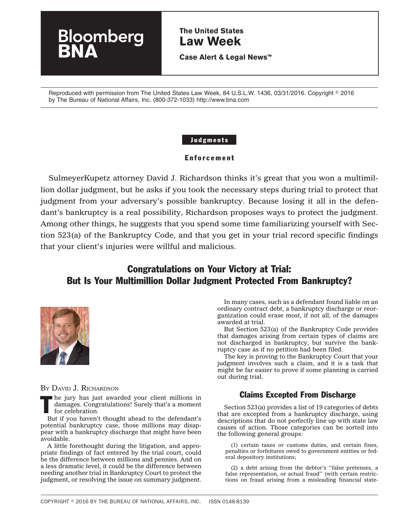# **The United States Law Week**

**Case Alert & Legal News™**

Reproduced with permission from The United States Law Week, 84 U.S.L.W. 1436, 03/31/2016. Copyright ◎ 2016 by The Bureau of National Affairs, Inc. (800-372-1033) http://www.bna.com

### Judgments

### Enforcement

SulmeyerKupetz attorney David J. Richardson thinks it's great that you won a multimillion dollar judgment, but he asks if you took the necessary steps during trial to protect that judgment from your adversary's possible bankruptcy. Because losing it all in the defendant's bankruptcy is a real possibility, Richardson proposes ways to protect the judgment. Among other things, he suggests that you spend some time familiarizing yourself with Section 523(a) of the Bankruptcy Code, and that you get in your trial record specific findings that your client's injuries were willful and malicious.

# Congratulations on Your Victory at Trial: But Is Your Multimillion Dollar Judgment Protected From Bankruptcy?



BY DAVID J. RICHARDSON

 $\blacksquare$  he jury has just awarded your client millions in damages. Congratulations! Surely that's a moment for celebration.

oomberg

But if you haven't thought ahead to the defendant's potential bankruptcy case, those millions may disappear with a bankruptcy discharge that might have been avoidable.

A little forethought during the litigation, and appropriate findings of fact entered by the trial court, could be the difference between millions and pennies. And on a less dramatic level, it could be the difference between needing another trial in Bankruptcy Court to protect the judgment, or resolving the issue on summary judgment.

In many cases, such as a defendant found liable on an ordinary contract debt, a bankruptcy discharge or reorganization could erase most, if not all, of the damages awarded at trial.

But Section 523(a) of the Bankruptcy Code provides that damages arising from certain types of claims are not discharged in bankruptcy, but survive the bankruptcy case as if no petition had been filed.

The key is proving to the Bankruptcy Court that your judgment involves such a claim, and it is a task that might be far easier to prove if some planning is carried out during trial.

# Claims Excepted From Discharge

Section 523(a) provides a list of 19 categories of debts that are excepted from a bankruptcy discharge, using descriptions that do not perfectly line up with state law causes of action. Those categories can be sorted into the following general groups:

(1) certain taxes or customs duties, and certain fines, penalties or forfeitures owed to government entities or federal depository institutions;

(2) a debt arising from the debtor's ''false pretenses, a false representation, or actual fraud'' (with certain restrictions on fraud arising from a misleading financial state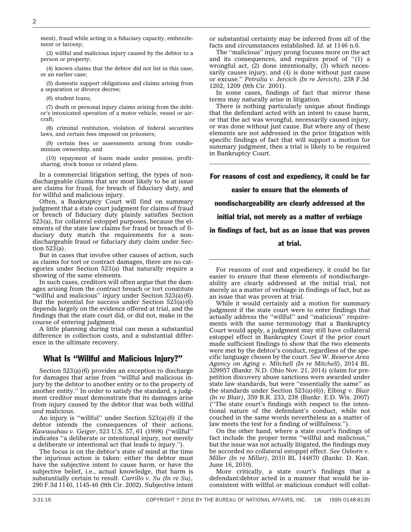ment), fraud while acting in a fiduciary capacity, embezzlement or larceny;

(3) willful and malicious injury caused by the debtor to a person or property;

(4) known claims that the debtor did not list in this case, or an earlier case;

(5) domestic support obligations and claims arising from a separation or divorce decree;

(6) student loans;

(7) death or personal injury claims arising from the debtor's intoxicated operation of a motor vehicle, vessel or aircraft;

(8) criminal restitution, violation of federal securities laws, and certain fees imposed on prisoners;

(9) certain fees or assessments arising from condominium ownership; and

(10) repayment of loans made under pension, profitsharing, stock bonus or related plans.

In a commercial litigation setting, the types of nondischargeable claims that are most likely to be at issue are claims for fraud, for breach of fiduciary duty, and for willful and malicious injury.

Often, a Bankruptcy Court will find on summary judgment that a state court judgment for claims of fraud or breach of fiduciary duty plainly satisfies Section 523(a), for collateral estoppel purposes, because the elements of the state law claims for fraud or breach of fiduciary duty match the requirements for a nondischargeable fraud or fiduciary duty claim under Section 523(a).

But in cases that involve other causes of action, such as claims for tort or contract damages, there are no categories under Section 523(a) that naturally require a showing of the same elements.

In such cases, creditors will often argue that the damages arising from the contract breach or tort constitute ''willful and malicious'' injury under Section 523(a)(6). But the potential for success under Section 523(a)(6) depends largely on the evidence offered at trial, and the findings that the state court did, or did not, make in the course of entering judgment.

A little planning during trial can mean a substantial difference in collection costs, and a substantial difference in the ultimate recovery.

## What Is ''Willful and Malicious Injury?''

Section 523(a)(6) provides an exception to discharge for damages that arise from ''willful and malicious injury by the debtor to another entity or to the property of another entity.'' In order to satisfy the standard, a judgment creditor must demonstrate that its damages arise from injury caused by the debtor that was both willful *and* malicious.

An injury is ''willful'' under Section 523(a)(6) if the debtor intends the consequences of their actions. *Kawaauhau v. Geiger*, 523 U.S. 57, 61 (1998) (''willful'' indicates ''a deliberate or intentional injury, not merely a deliberate or intentional act that leads to injury.'').

The focus is on the debtor's state of mind at the time the injurious action is taken: either the debtor must have the subjective intent to cause harm, or have the subjective belief, i.e., actual knowledge, that harm is substantially certain to result. *Carrillo v. Su (In re Su)*, 290 F.3d 1140, 1145-46 (9th Cir. 2002). Subjective intent or substantial certainty may be inferred from all of the facts and circumstances established. *Id.* at 1146 n.6.

The ''malicious'' injury prong focuses more on the act and its consequences, and requires proof of ''(1) a wrongful act,  $(2)$  done intentionally,  $(3)$  which necessarily causes injury, and (4) is done without just cause or excuse.'' *Petralia v. Jercich (In re Jercich)*, 238 F.3d 1202, 1209 (9th Cir. 2001).

In some cases, findings of fact that mirror these terms may naturally arise in litigation.

There is nothing particularly unique about findings that the defendant acted with an intent to cause harm, or that the act was wrongful, necessarily caused injury, or was done without just cause. But where any of these elements are not addressed in the prior litigation with specific findings of fact that will support a motion for summary judgment, then a trial is likely to be required in Bankruptcy Court.

For reasons of cost and expediency, it could be far

#### easier to ensure that the elements of

nondischargeability are clearly addressed at the

initial trial, not merely as a matter of verbiage

in findings of fact, but as an issue that was proven

at trial.

For reasons of cost and expediency, it could be far easier to ensure that these elements of nondischargeability are clearly addressed at the initial trial, not merely as a matter of verbiage in findings of fact, but as an issue that was proven at trial.

While it would certainly aid a motion for summary judgment if the state court were to enter findings that actually address the ''willful'' and ''malicious'' requirements with the same terminology that a Bankruptcy Court would apply, a judgment may still have collateral estoppel effect in Bankruptcy Court if the prior court made sufficient findings to show that the two elements were met by the debtor's conduct, regardless of the specific language chosen by the court. *See [W. Reserve Area](http://www.bloomberglaw.com/public/document/Western_Reserve_Area_Agency_on_Aging_v_Mitchell_In_re_Mitchell_No) [Agency on Aging v. Mitchell \(In re Mitchell\)](http://www.bloomberglaw.com/public/document/Western_Reserve_Area_Agency_on_Aging_v_Mitchell_In_re_Mitchell_No)*, 2014 BL 329957 (Bankr. N.D. Ohio Nov. 21, 2014) (claim for prepetition discovery abuse sanctions were awarded under state law standards, but were ''essentially the same'' as the standards under Section 523(a)(6)); *Elbing v. Blair (In re Blair)*, 359 B.R. 233, 238 (Bankr. E.D. Wis. 2007) (''The state court's findings with respect to the intentional nature of the defendant's conduct, while not couched in the same words nevertheless as a matter of law meets the test for a finding of willfulness.'').

On the other hand, where a state court's findings of fact include the proper terms ''willful and malicious,'' but the issue was not actually litigated, the findings may be accorded no collateral estoppel effect. *See [Osborn v.](http://www.bloomberglaw.com/public/document/Osborn_v_Miller_In_re_Miller_CASE_NO_0526140_ADV_NO_066028_2010_B) [Miller \(In re Miller\)](http://www.bloomberglaw.com/public/document/Osborn_v_Miller_In_re_Miller_CASE_NO_0526140_ADV_NO_066028_2010_B)*, 2010 BL 144870 (Bankr. D. Kan. June 16, 2010).

More critically, a state court's findings that a defendant/debtor acted in a manner that would be inconsistent with willful or malicious conduct will collat